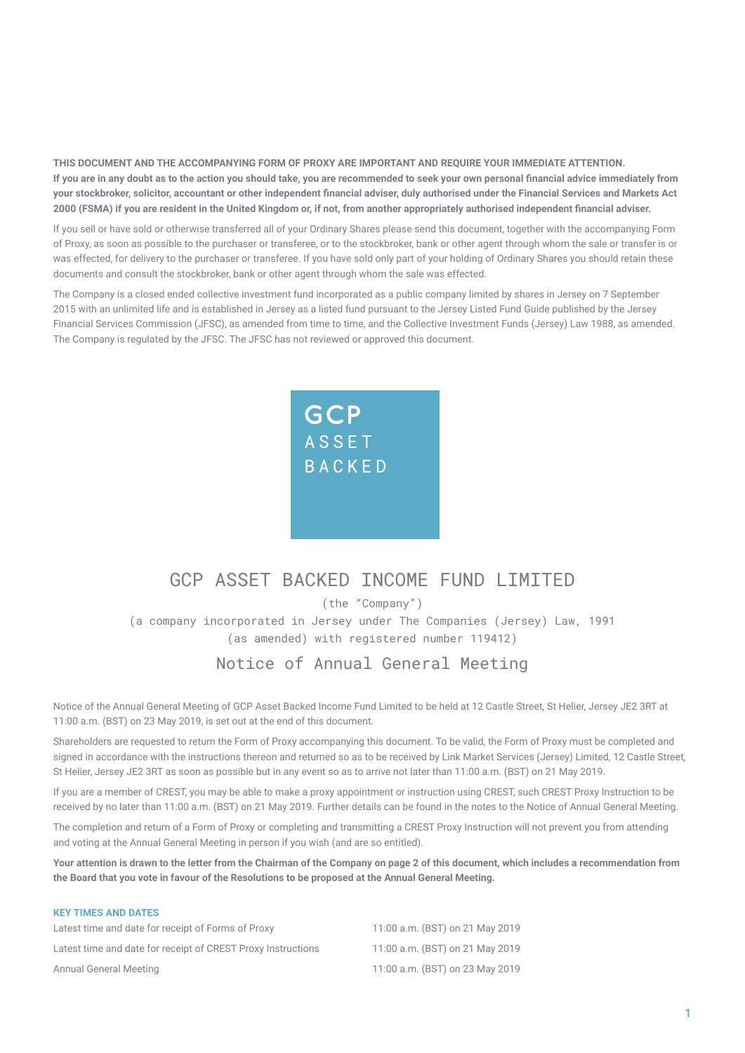**THIS DOCUMENT AND THE ACCOMPANYING FORM OF PROXY ARE IMPORTANT AND REQUIRE YOUR IMMEDIATE ATTENTION. If you are in any doubt as to the action you should take, you are recommended to seek your own personal financial advice immediately from your stockbroker, solicitor, accountant or other independent financial adviser, duly authorised under the Financial Services and Markets Act 2000 (FSMA) if you are resident in the United Kingdom or, if not, from another appropriately authorised independent financial adviser.**

If you sell or have sold or otherwise transferred all of your Ordinary Shares please send this document, together with the accompanying Form of Proxy, as soon as possible to the purchaser or transferee, or to the stockbroker, bank or other agent through whom the sale or transfer is or was effected, for delivery to the purchaser or transferee. If you have sold only part of your holding of Ordinary Shares you should retain these documents and consult the stockbroker, bank or other agent through whom the sale was effected.

The Company is a closed ended collective investment fund incorporated as a public company limited by shares in Jersey on 7 September 2015 with an unlimited life and is established in Jersey as a listed fund pursuant to the Jersey Listed Fund Guide published by the Jersey Financial Services Commission (JFSC), as amended from time to time, and the Collective Investment Funds (Jersey) Law 1988, as amended. The Company is regulated by the JFSC. The JFSC has not reviewed or approved this document.



# GCP ASSET BACKED INCOME FUND LIMITED

(the "Company")

(a company incorporated in Jersey under The Companies (Jersey) Law, 1991 (as amended) with registered number 119412)

## Notice of Annual General Meeting

Notice of the Annual General Meeting of GCP Asset Backed Income Fund Limited to be held at 12 Castle Street, St Helier, Jersey JE2 3RT at 11:00 a.m. (BST) on 23 May 2019, is set out at the end of this document.

Shareholders are requested to return the Form of Proxy accompanying this document. To be valid, the Form of Proxy must be completed and signed in accordance with the instructions thereon and returned so as to be received by Link Market Services (Jersey) Limited, 12 Castle Street, St Helier, Jersey JE2 3RT as soon as possible but in any event so as to arrive not later than 11:00 a.m. (BST) on 21 May 2019.

If you are a member of CREST, you may be able to make a proxy appointment or instruction using CREST, such CREST Proxy Instruction to be received by no later than 11:00 a.m. (BST) on 21 May 2019. Further details can be found in the notes to the Notice of Annual General Meeting.

The completion and return of a Form of Proxy or completing and transmitting a CREST Proxy Instruction will not prevent you from attending and voting at the Annual General Meeting in person if you wish (and are so entitled).

**Your attention is drawn to the letter from the Chairman of the Company on page 2 of this document, which includes a recommendation from the Board that you vote in favour of the Resolutions to be proposed at the Annual General Meeting.**

### **KEY TIMES AND DATES**

| Latest time and date for receipt of Forms of Proxy           | 11:00 a.m. (BST) on 21 May 2019 |
|--------------------------------------------------------------|---------------------------------|
| Latest time and date for receipt of CREST Proxy Instructions | 11:00 a.m. (BST) on 21 May 2019 |
| Annual General Meeting                                       | 11:00 a.m. (BST) on 23 May 2019 |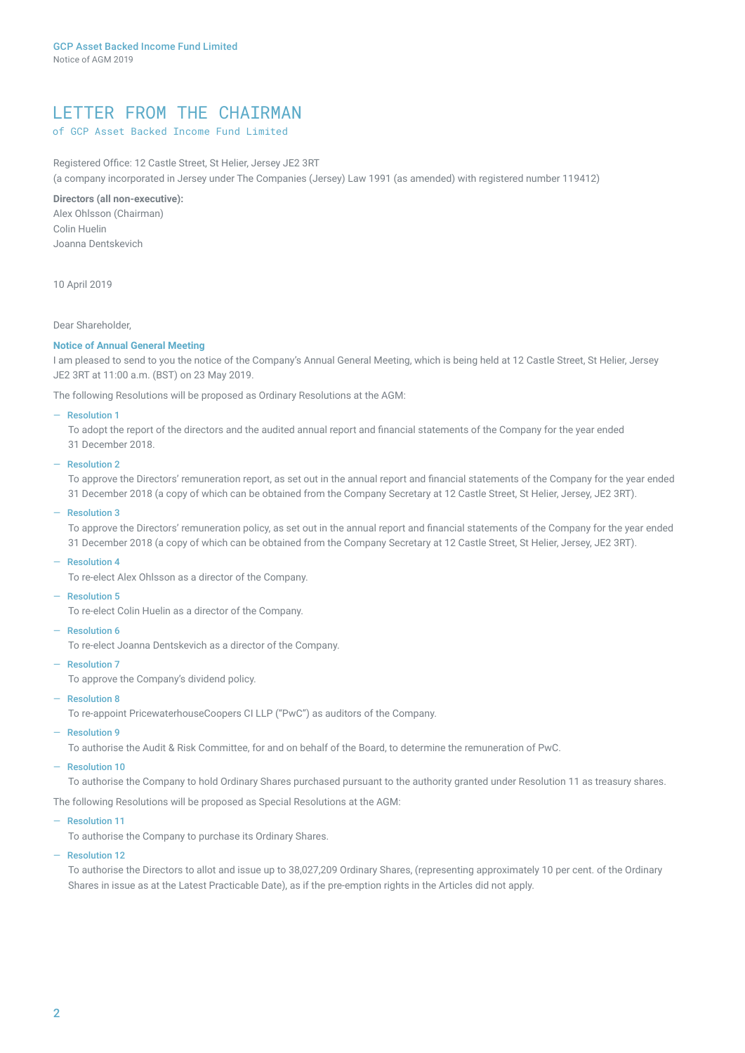## LETTER FROM THE CHAIRMAN

## of GCP Asset Backed Income Fund Limited

Registered Office: 12 Castle Street, St Helier, Jersey JE2 3RT (a company incorporated in Jersey under The Companies (Jersey) Law 1991 (as amended) with registered number 119412)

### **Directors (all non-executive):**

Alex Ohlsson (Chairman) Colin Huelin Joanna Dentskevich

10 April 2019

### Dear Shareholder,

### **Notice of Annual General Meeting**

I am pleased to send to you the notice of the Company's Annual General Meeting, which is being held at 12 Castle Street, St Helier, Jersey JE2 3RT at 11:00 a.m. (BST) on 23 May 2019.

The following Resolutions will be proposed as Ordinary Resolutions at the AGM:

### ― Resolution 1

To adopt the report of the directors and the audited annual report and financial statements of the Company for the year ended 31 December 2018.

#### ― Resolution 2

To approve the Directors' remuneration report, as set out in the annual report and financial statements of the Company for the year ended 31 December 2018 (a copy of which can be obtained from the Company Secretary at 12 Castle Street, St Helier, Jersey, JE2 3RT).

### ― Resolution 3

To approve the Directors' remuneration policy, as set out in the annual report and financial statements of the Company for the year ended 31 December 2018 (a copy of which can be obtained from the Company Secretary at 12 Castle Street, St Helier, Jersey, JE2 3RT).

#### ― Resolution 4

To re-elect Alex Ohlsson as a director of the Company.

#### ― Resolution 5

To re-elect Colin Huelin as a director of the Company.

― Resolution 6

To re-elect Joanna Dentskevich as a director of the Company.

### ― Resolution 7

To approve the Company's dividend policy.

### ― Resolution 8

To re-appoint PricewaterhouseCoopers CI LLP ("PwC") as auditors of the Company.

### ― Resolution 9

To authorise the Audit & Risk Committee, for and on behalf of the Board, to determine the remuneration of PwC.

### ― Resolution 10

To authorise the Company to hold Ordinary Shares purchased pursuant to the authority granted under Resolution 11 as treasury shares.

The following Resolutions will be proposed as Special Resolutions at the AGM:

#### ― Resolution 11

To authorise the Company to purchase its Ordinary Shares.

### ― Resolution 12

To authorise the Directors to allot and issue up to 38,027,209 Ordinary Shares, (representing approximately 10 per cent. of the Ordinary Shares in issue as at the Latest Practicable Date), as if the pre-emption rights in the Articles did not apply.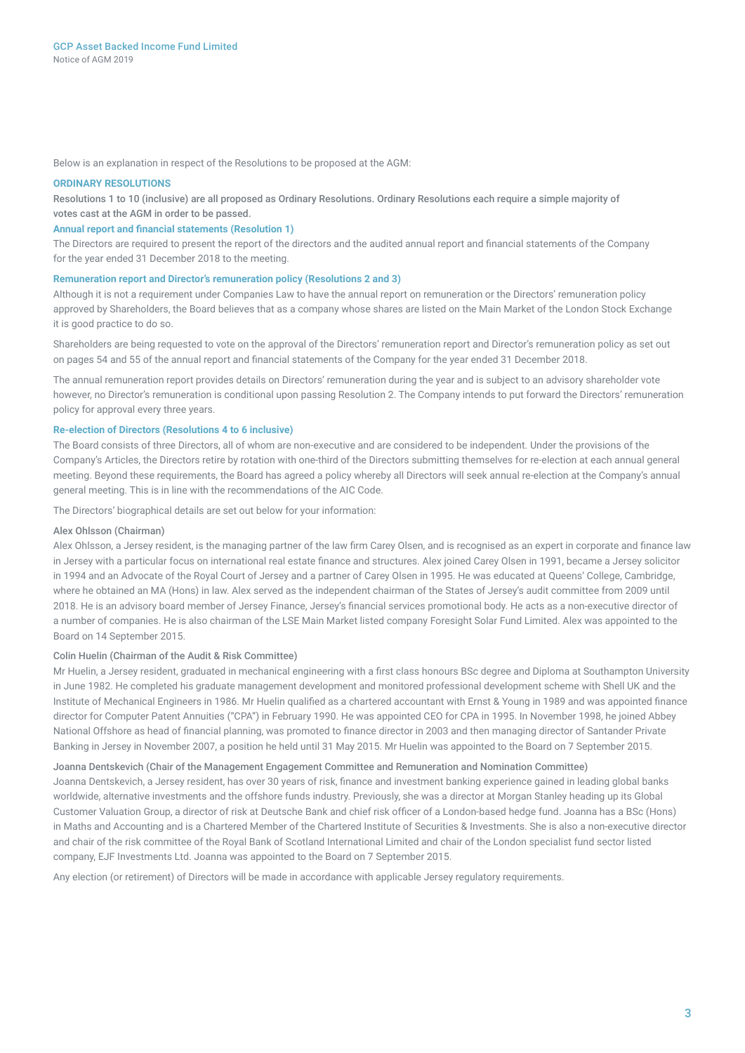Below is an explanation in respect of the Resolutions to be proposed at the AGM:

### **ORDINARY RESOLUTIONS**

Resolutions 1 to 10 (inclusive) are all proposed as Ordinary Resolutions. Ordinary Resolutions each require a simple majority of votes cast at the AGM in order to be passed.

### **Annual report and financial statements (Resolution 1)**

The Directors are required to present the report of the directors and the audited annual report and financial statements of the Company for the year ended 31 December 2018 to the meeting.

#### **Remuneration report and Director's remuneration policy (Resolutions 2 and 3)**

Although it is not a requirement under Companies Law to have the annual report on remuneration or the Directors' remuneration policy approved by Shareholders, the Board believes that as a company whose shares are listed on the Main Market of the London Stock Exchange it is good practice to do so.

Shareholders are being requested to vote on the approval of the Directors' remuneration report and Director's remuneration policy as set out on pages 54 and 55 of the annual report and financial statements of the Company for the year ended 31 December 2018.

The annual remuneration report provides details on Directors' remuneration during the year and is subject to an advisory shareholder vote however, no Director's remuneration is conditional upon passing Resolution 2. The Company intends to put forward the Directors' remuneration policy for approval every three years.

### **Re-election of Directors (Resolutions 4 to 6 inclusive)**

The Board consists of three Directors, all of whom are non-executive and are considered to be independent. Under the provisions of the Company's Articles, the Directors retire by rotation with one-third of the Directors submitting themselves for re-election at each annual general meeting. Beyond these requirements, the Board has agreed a policy whereby all Directors will seek annual re-election at the Company's annual general meeting. This is in line with the recommendations of the AIC Code.

The Directors' biographical details are set out below for your information:

### Alex Ohlsson (Chairman)

Alex Ohlsson, a Jersey resident, is the managing partner of the law firm Carey Olsen, and is recognised as an expert in corporate and finance law in Jersey with a particular focus on international real estate finance and structures. Alex joined Carey Olsen in 1991, became a Jersey solicitor in 1994 and an Advocate of the Royal Court of Jersey and a partner of Carey Olsen in 1995. He was educated at Queens' College, Cambridge, where he obtained an MA (Hons) in law. Alex served as the independent chairman of the States of Jersey's audit committee from 2009 until 2018. He is an advisory board member of Jersey Finance, Jersey's financial services promotional body. He acts as a non-executive director of a number of companies. He is also chairman of the LSE Main Market listed company Foresight Solar Fund Limited. Alex was appointed to the Board on 14 September 2015.

### Colin Huelin (Chairman of the Audit & Risk Committee)

Mr Huelin, a Jersey resident, graduated in mechanical engineering with a first class honours BSc degree and Diploma at Southampton University in June 1982. He completed his graduate management development and monitored professional development scheme with Shell UK and the Institute of Mechanical Engineers in 1986. Mr Huelin qualified as a chartered accountant with Ernst & Young in 1989 and was appointed finance director for Computer Patent Annuities ("CPA") in February 1990. He was appointed CEO for CPA in 1995. In November 1998, he joined Abbey National Offshore as head of financial planning, was promoted to finance director in 2003 and then managing director of Santander Private Banking in Jersey in November 2007, a position he held until 31 May 2015. Mr Huelin was appointed to the Board on 7 September 2015.

### Joanna Dentskevich (Chair of the Management Engagement Committee and Remuneration and Nomination Committee)

Joanna Dentskevich, a Jersey resident, has over 30 years of risk, finance and investment banking experience gained in leading global banks worldwide, alternative investments and the offshore funds industry. Previously, she was a director at Morgan Stanley heading up its Global Customer Valuation Group, a director of risk at Deutsche Bank and chief risk officer of a London-based hedge fund. Joanna has a BSc (Hons) in Maths and Accounting and is a Chartered Member of the Chartered Institute of Securities & Investments. She is also a non-executive director and chair of the risk committee of the Royal Bank of Scotland International Limited and chair of the London specialist fund sector listed company, EJF Investments Ltd. Joanna was appointed to the Board on 7 September 2015.

Any election (or retirement) of Directors will be made in accordance with applicable Jersey regulatory requirements.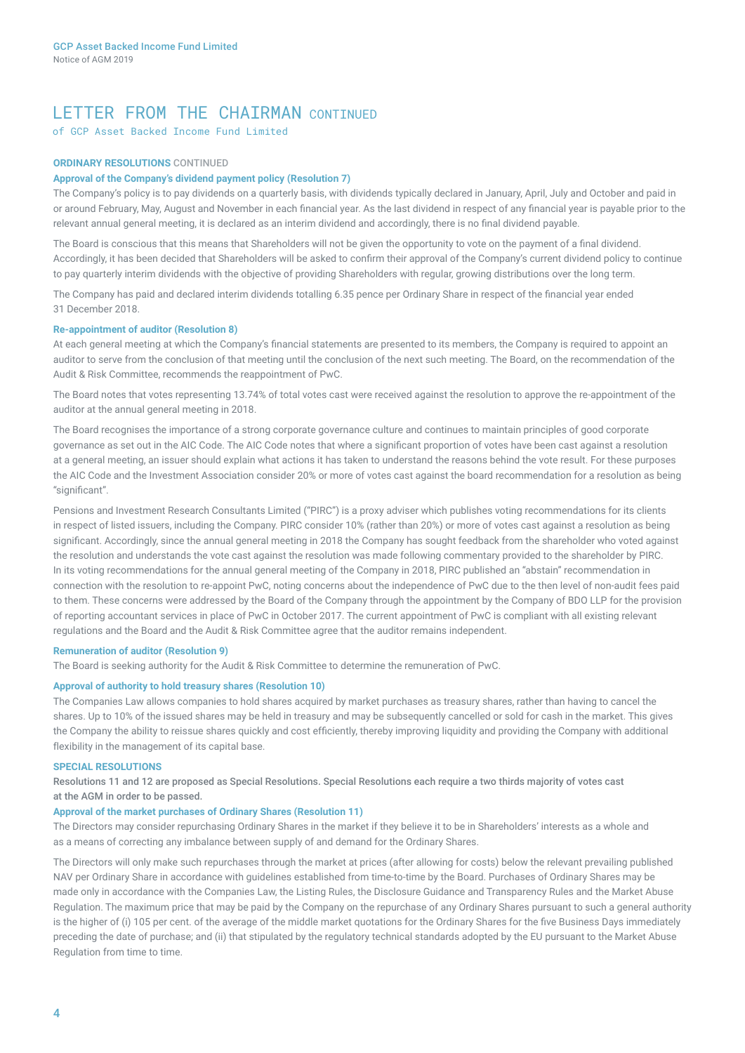## LETTER FROM THE CHAIRMAN CONTINUED

of GCP Asset Backed Income Fund Limited

### **ORDINARY RESOLUTIONS** CONTINUED

### **Approval of the Company's dividend payment policy (Resolution 7)**

The Company's policy is to pay dividends on a quarterly basis, with dividends typically declared in January, April, July and October and paid in or around February, May, August and November in each financial year. As the last dividend in respect of any financial year is payable prior to the relevant annual general meeting, it is declared as an interim dividend and accordingly, there is no final dividend payable.

The Board is conscious that this means that Shareholders will not be given the opportunity to vote on the payment of a final dividend. Accordingly, it has been decided that Shareholders will be asked to confirm their approval of the Company's current dividend policy to continue to pay quarterly interim dividends with the objective of providing Shareholders with regular, growing distributions over the long term.

The Company has paid and declared interim dividends totalling 6.35 pence per Ordinary Share in respect of the financial year ended 31 December 2018.

### **Re-appointment of auditor (Resolution 8)**

At each general meeting at which the Company's financial statements are presented to its members, the Company is required to appoint an auditor to serve from the conclusion of that meeting until the conclusion of the next such meeting. The Board, on the recommendation of the Audit & Risk Committee, recommends the reappointment of PwC.

The Board notes that votes representing 13.74% of total votes cast were received against the resolution to approve the re-appointment of the auditor at the annual general meeting in 2018.

The Board recognises the importance of a strong corporate governance culture and continues to maintain principles of good corporate governance as set out in the AIC Code. The AIC Code notes that where a significant proportion of votes have been cast against a resolution at a general meeting, an issuer should explain what actions it has taken to understand the reasons behind the vote result. For these purposes the AIC Code and the Investment Association consider 20% or more of votes cast against the board recommendation for a resolution as being "significant".

Pensions and Investment Research Consultants Limited ("PIRC") is a proxy adviser which publishes voting recommendations for its clients in respect of listed issuers, including the Company. PIRC consider 10% (rather than 20%) or more of votes cast against a resolution as being significant. Accordingly, since the annual general meeting in 2018 the Company has sought feedback from the shareholder who voted against the resolution and understands the vote cast against the resolution was made following commentary provided to the shareholder by PIRC. In its voting recommendations for the annual general meeting of the Company in 2018, PIRC published an "abstain" recommendation in connection with the resolution to re-appoint PwC, noting concerns about the independence of PwC due to the then level of non-audit fees paid to them. These concerns were addressed by the Board of the Company through the appointment by the Company of BDO LLP for the provision of reporting accountant services in place of PwC in October 2017. The current appointment of PwC is compliant with all existing relevant regulations and the Board and the Audit & Risk Committee agree that the auditor remains independent.

### **Remuneration of auditor (Resolution 9)**

The Board is seeking authority for the Audit & Risk Committee to determine the remuneration of PwC.

### **Approval of authority to hold treasury shares (Resolution 10)**

The Companies Law allows companies to hold shares acquired by market purchases as treasury shares, rather than having to cancel the shares. Up to 10% of the issued shares may be held in treasury and may be subsequently cancelled or sold for cash in the market. This gives the Company the ability to reissue shares quickly and cost efficiently, thereby improving liquidity and providing the Company with additional flexibility in the management of its capital base.

### **SPECIAL RESOLUTIONS**

Resolutions 11 and 12 are proposed as Special Resolutions. Special Resolutions each require a two thirds majority of votes cast at the AGM in order to be passed.

### **Approval of the market purchases of Ordinary Shares (Resolution 11)**

The Directors may consider repurchasing Ordinary Shares in the market if they believe it to be in Shareholders' interests as a whole and as a means of correcting any imbalance between supply of and demand for the Ordinary Shares.

The Directors will only make such repurchases through the market at prices (after allowing for costs) below the relevant prevailing published NAV per Ordinary Share in accordance with guidelines established from time-to-time by the Board. Purchases of Ordinary Shares may be made only in accordance with the Companies Law, the Listing Rules, the Disclosure Guidance and Transparency Rules and the Market Abuse Regulation. The maximum price that may be paid by the Company on the repurchase of any Ordinary Shares pursuant to such a general authority is the higher of (i) 105 per cent. of the average of the middle market quotations for the Ordinary Shares for the five Business Days immediately preceding the date of purchase; and (ii) that stipulated by the regulatory technical standards adopted by the EU pursuant to the Market Abuse Regulation from time to time.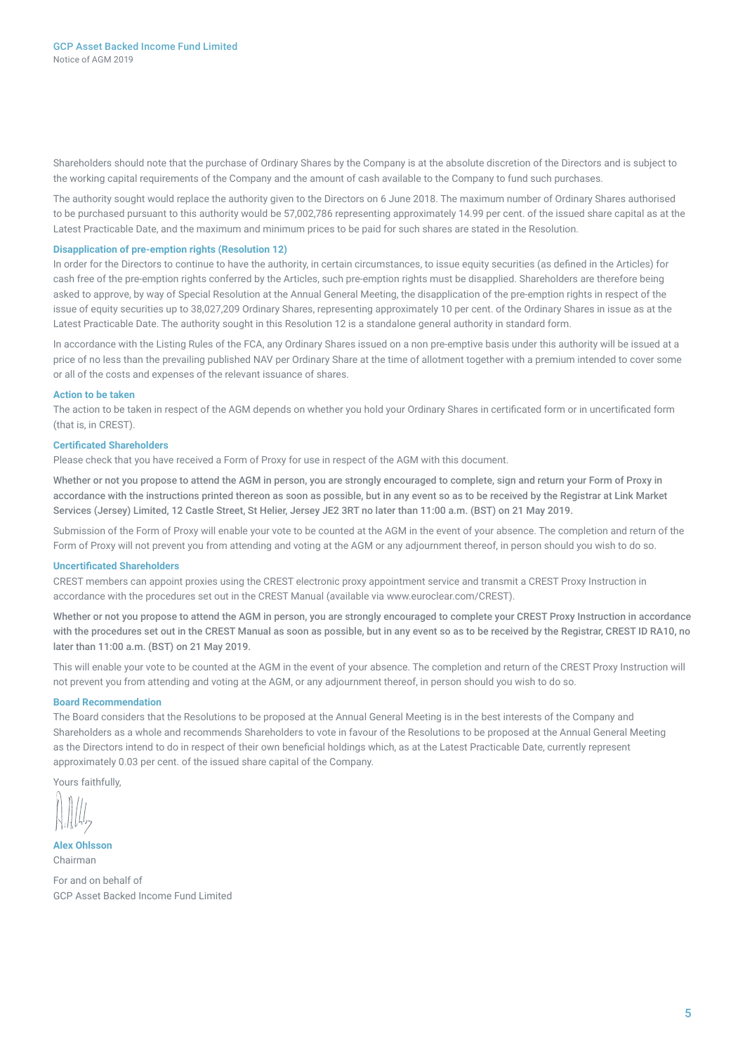Shareholders should note that the purchase of Ordinary Shares by the Company is at the absolute discretion of the Directors and is subject to the working capital requirements of the Company and the amount of cash available to the Company to fund such purchases.

The authority sought would replace the authority given to the Directors on 6 June 2018. The maximum number of Ordinary Shares authorised to be purchased pursuant to this authority would be 57,002,786 representing approximately 14.99 per cent. of the issued share capital as at the Latest Practicable Date, and the maximum and minimum prices to be paid for such shares are stated in the Resolution.

### **Disapplication of pre-emption rights (Resolution 12)**

In order for the Directors to continue to have the authority, in certain circumstances, to issue equity securities (as defined in the Articles) for cash free of the pre-emption rights conferred by the Articles, such pre-emption rights must be disapplied. Shareholders are therefore being asked to approve, by way of Special Resolution at the Annual General Meeting, the disapplication of the pre-emption rights in respect of the issue of equity securities up to 38,027,209 Ordinary Shares, representing approximately 10 per cent. of the Ordinary Shares in issue as at the Latest Practicable Date. The authority sought in this Resolution 12 is a standalone general authority in standard form.

In accordance with the Listing Rules of the FCA, any Ordinary Shares issued on a non pre-emptive basis under this authority will be issued at a price of no less than the prevailing published NAV per Ordinary Share at the time of allotment together with a premium intended to cover some or all of the costs and expenses of the relevant issuance of shares.

### **Action to be taken**

The action to be taken in respect of the AGM depends on whether you hold your Ordinary Shares in certificated form or in uncertificated form (that is, in CREST).

### **Certificated Shareholders**

Please check that you have received a Form of Proxy for use in respect of the AGM with this document.

Whether or not you propose to attend the AGM in person, you are strongly encouraged to complete, sign and return your Form of Proxy in accordance with the instructions printed thereon as soon as possible, but in any event so as to be received by the Registrar at Link Market Services (Jersey) Limited, 12 Castle Street, St Helier, Jersey JE2 3RT no later than 11:00 a.m. (BST) on 21 May 2019.

Submission of the Form of Proxy will enable your vote to be counted at the AGM in the event of your absence. The completion and return of the Form of Proxy will not prevent you from attending and voting at the AGM or any adjournment thereof, in person should you wish to do so.

### **Uncertificated Shareholders**

CREST members can appoint proxies using the CREST electronic proxy appointment service and transmit a CREST Proxy Instruction in accordance with the procedures set out in the CREST Manual (available via www.euroclear.com/CREST).

Whether or not you propose to attend the AGM in person, you are strongly encouraged to complete your CREST Proxy Instruction in accordance with the procedures set out in the CREST Manual as soon as possible, but in any event so as to be received by the Registrar, CREST ID RA10, no later than 11:00 a.m. (BST) on 21 May 2019.

This will enable your vote to be counted at the AGM in the event of your absence. The completion and return of the CREST Proxy Instruction will not prevent you from attending and voting at the AGM, or any adjournment thereof, in person should you wish to do so.

### **Board Recommendation**

The Board considers that the Resolutions to be proposed at the Annual General Meeting is in the best interests of the Company and Shareholders as a whole and recommends Shareholders to vote in favour of the Resolutions to be proposed at the Annual General Meeting as the Directors intend to do in respect of their own beneficial holdings which, as at the Latest Practicable Date, currently represent approximately 0.03 per cent. of the issued share capital of the Company.

Yours faithfully,

**Alex Ohlsson** Chairman

For and on behalf of GCP Asset Backed Income Fund Limited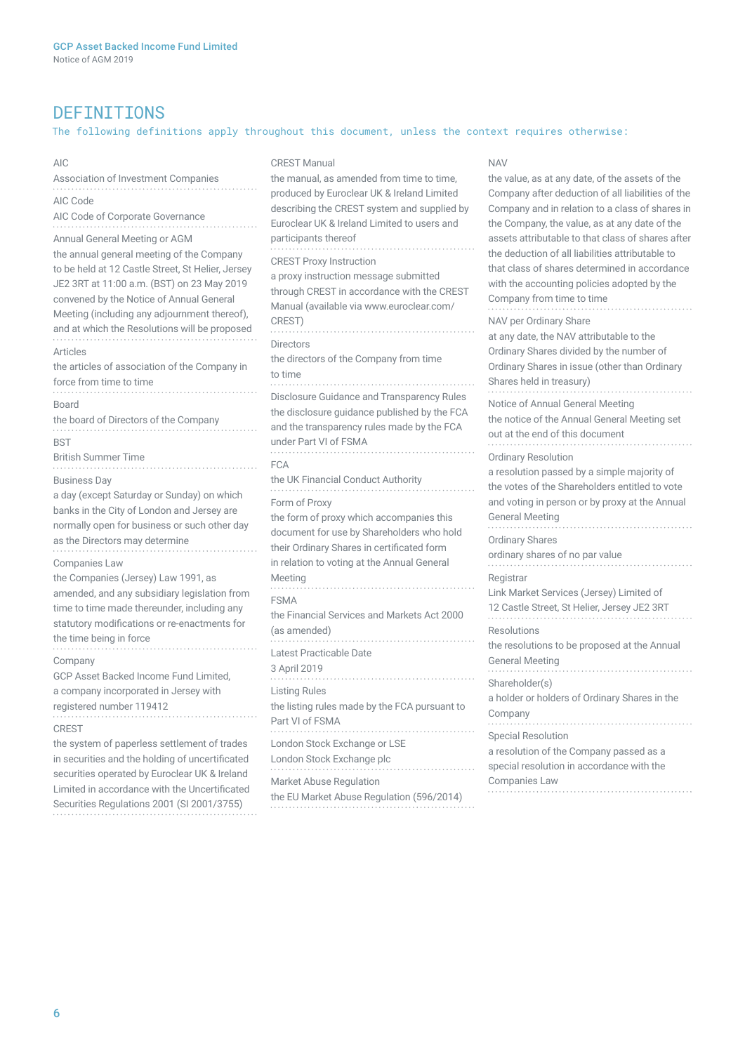# DEFINITIONS

## The following definitions apply throughout this document, unless the context requires otherwise:

NAV

AIC

### CREST Manual

| Association of Investment Companies                                                                                                                                                                                                                                                                                        | the manual, as amended from time to time,<br>produced by Euroclear UK & Ireland Limited<br>describing the CREST system and supplied by<br>Euroclear UK & Ireland Limited to users and<br>participants thereof<br><b>CREST Proxy Instruction</b><br>a proxy instruction message submitted<br>through CREST in accordance with the CREST<br>Manual (available via www.euroclear.com/<br>CREST)<br><b>Directors</b><br>the directors of the Company from time<br>to time<br>Disclosure Guidance and Transparency Rules<br>the disclosure guidance published by the FCA<br>and the transparency rules made by the FCA<br>under Part VI of FSMA<br><b>FCA</b><br>the UK Financial Conduct Authority<br>Form of Proxy<br>the form of proxy which accompanies this<br>document for use by Shareholders who hold<br>their Ordinary Shares in certificated form<br>in relation to voting at the Annual General<br>Meeting<br><b>FSMA</b><br>the Financial Services and Markets Act 2000<br>(as amended)<br>Latest Practicable Date<br>3 April 2019 | the value, as at any date, of the assets of the<br>Company after deduction of all liabilities of the<br>Company and in relation to a class of shares in<br>the Company, the value, as at any date of the<br>assets attributable to that class of shares after<br>the deduction of all liabilities attributable to<br>that class of shares determined in accordance<br>with the accounting policies adopted by the<br>Company from time to time<br>NAV per Ordinary Share<br>at any date, the NAV attributable to the<br>Ordinary Shares divided by the number of<br>Ordinary Shares in issue (other than Ordinary<br>Shares held in treasury) |
|----------------------------------------------------------------------------------------------------------------------------------------------------------------------------------------------------------------------------------------------------------------------------------------------------------------------------|-------------------------------------------------------------------------------------------------------------------------------------------------------------------------------------------------------------------------------------------------------------------------------------------------------------------------------------------------------------------------------------------------------------------------------------------------------------------------------------------------------------------------------------------------------------------------------------------------------------------------------------------------------------------------------------------------------------------------------------------------------------------------------------------------------------------------------------------------------------------------------------------------------------------------------------------------------------------------------------------------------------------------------------------|-----------------------------------------------------------------------------------------------------------------------------------------------------------------------------------------------------------------------------------------------------------------------------------------------------------------------------------------------------------------------------------------------------------------------------------------------------------------------------------------------------------------------------------------------------------------------------------------------------------------------------------------------|
| AIC Code<br>AIC Code of Corporate Governance                                                                                                                                                                                                                                                                               |                                                                                                                                                                                                                                                                                                                                                                                                                                                                                                                                                                                                                                                                                                                                                                                                                                                                                                                                                                                                                                           |                                                                                                                                                                                                                                                                                                                                                                                                                                                                                                                                                                                                                                               |
| Annual General Meeting or AGM<br>the annual general meeting of the Company<br>to be held at 12 Castle Street, St Helier, Jersey<br>JE2 3RT at 11:00 a.m. (BST) on 23 May 2019<br>convened by the Notice of Annual General<br>Meeting (including any adjournment thereof),<br>and at which the Resolutions will be proposed |                                                                                                                                                                                                                                                                                                                                                                                                                                                                                                                                                                                                                                                                                                                                                                                                                                                                                                                                                                                                                                           |                                                                                                                                                                                                                                                                                                                                                                                                                                                                                                                                                                                                                                               |
| Articles<br>the articles of association of the Company in<br>force from time to time                                                                                                                                                                                                                                       |                                                                                                                                                                                                                                                                                                                                                                                                                                                                                                                                                                                                                                                                                                                                                                                                                                                                                                                                                                                                                                           |                                                                                                                                                                                                                                                                                                                                                                                                                                                                                                                                                                                                                                               |
| <b>Board</b><br>the board of Directors of the Company                                                                                                                                                                                                                                                                      |                                                                                                                                                                                                                                                                                                                                                                                                                                                                                                                                                                                                                                                                                                                                                                                                                                                                                                                                                                                                                                           | Notice of Annual General Meeting<br>the notice of the Annual General Meeting set<br>out at the end of this document                                                                                                                                                                                                                                                                                                                                                                                                                                                                                                                           |
| <b>BST</b><br><b>British Summer Time</b>                                                                                                                                                                                                                                                                                   |                                                                                                                                                                                                                                                                                                                                                                                                                                                                                                                                                                                                                                                                                                                                                                                                                                                                                                                                                                                                                                           | <b>Ordinary Resolution</b>                                                                                                                                                                                                                                                                                                                                                                                                                                                                                                                                                                                                                    |
| <b>Business Day</b><br>a day (except Saturday or Sunday) on which<br>banks in the City of London and Jersey are<br>normally open for business or such other day                                                                                                                                                            |                                                                                                                                                                                                                                                                                                                                                                                                                                                                                                                                                                                                                                                                                                                                                                                                                                                                                                                                                                                                                                           | a resolution passed by a simple majority of<br>the votes of the Shareholders entitled to vote<br>and voting in person or by proxy at the Annual<br><b>General Meeting</b>                                                                                                                                                                                                                                                                                                                                                                                                                                                                     |
| as the Directors may determine<br><b>Companies Law</b>                                                                                                                                                                                                                                                                     |                                                                                                                                                                                                                                                                                                                                                                                                                                                                                                                                                                                                                                                                                                                                                                                                                                                                                                                                                                                                                                           | <b>Ordinary Shares</b><br>ordinary shares of no par value                                                                                                                                                                                                                                                                                                                                                                                                                                                                                                                                                                                     |
| the Companies (Jersey) Law 1991, as<br>amended, and any subsidiary legislation from<br>time to time made thereunder, including any                                                                                                                                                                                         |                                                                                                                                                                                                                                                                                                                                                                                                                                                                                                                                                                                                                                                                                                                                                                                                                                                                                                                                                                                                                                           | Registrar<br>Link Market Services (Jersey) Limited of<br>12 Castle Street, St Helier, Jersey JE2 3RT                                                                                                                                                                                                                                                                                                                                                                                                                                                                                                                                          |
| statutory modifications or re-enactments for<br>the time being in force<br>Company<br>GCP Asset Backed Income Fund Limited,<br>a company incorporated in Jersey with<br>registered number 119412                                                                                                                           |                                                                                                                                                                                                                                                                                                                                                                                                                                                                                                                                                                                                                                                                                                                                                                                                                                                                                                                                                                                                                                           | Resolutions<br>the resolutions to be proposed at the Annual<br><b>General Meeting</b>                                                                                                                                                                                                                                                                                                                                                                                                                                                                                                                                                         |
|                                                                                                                                                                                                                                                                                                                            | <b>Listing Rules</b><br>the listing rules made by the FCA pursuant to<br>Part VI of FSMA                                                                                                                                                                                                                                                                                                                                                                                                                                                                                                                                                                                                                                                                                                                                                                                                                                                                                                                                                  | Shareholder(s)<br>a holder or holders of Ordinary Shares in the<br>Company                                                                                                                                                                                                                                                                                                                                                                                                                                                                                                                                                                    |
| <b>CREST</b><br>the system of paperless settlement of trades<br>in securities and the holding of uncertificated<br>securities operated by Euroclear UK & Ireland<br>Limited in accordance with the Uncertificated<br>Securities Regulations 2001 (SI 2001/3755)                                                            | London Stock Exchange or LSE<br>London Stock Exchange plc                                                                                                                                                                                                                                                                                                                                                                                                                                                                                                                                                                                                                                                                                                                                                                                                                                                                                                                                                                                 | <b>Special Resolution</b><br>a resolution of the Company passed as a<br>special resolution in accordance with the<br><b>Companies Law</b>                                                                                                                                                                                                                                                                                                                                                                                                                                                                                                     |
|                                                                                                                                                                                                                                                                                                                            | Market Abuse Regulation<br>the EU Market Abuse Regulation (596/2014)                                                                                                                                                                                                                                                                                                                                                                                                                                                                                                                                                                                                                                                                                                                                                                                                                                                                                                                                                                      |                                                                                                                                                                                                                                                                                                                                                                                                                                                                                                                                                                                                                                               |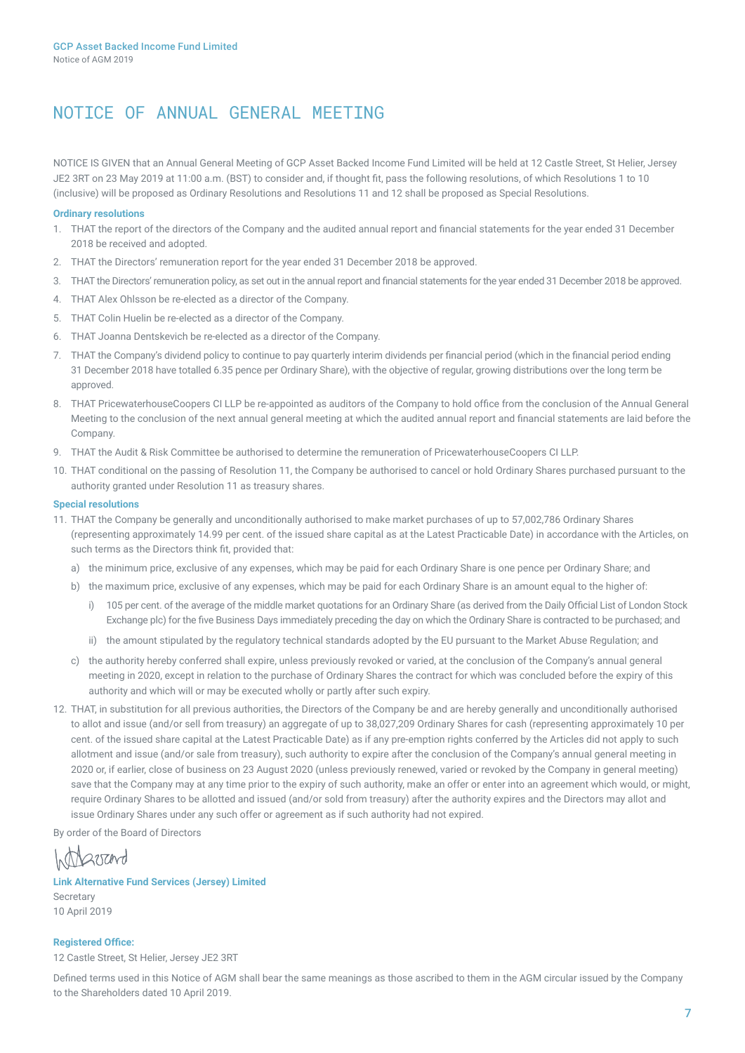# NOTICE OF ANNUAL GENERAL MEETING

NOTICE IS GIVEN that an Annual General Meeting of GCP Asset Backed Income Fund Limited will be held at 12 Castle Street, St Helier, Jersey JE2 3RT on 23 May 2019 at 11:00 a.m. (BST) to consider and, if thought fit, pass the following resolutions, of which Resolutions 1 to 10 (inclusive) will be proposed as Ordinary Resolutions and Resolutions 11 and 12 shall be proposed as Special Resolutions.

### **Ordinary resolutions**

- 1. THAT the report of the directors of the Company and the audited annual report and financial statements for the year ended 31 December 2018 be received and adopted.
- 2. THAT the Directors' remuneration report for the year ended 31 December 2018 be approved.
- 3. THAT the Directors' remuneration policy, as set out in the annual report and financial statements for the year ended 31 December 2018 be approved.
- 4. THAT Alex Ohlsson be re-elected as a director of the Company.
- 5. THAT Colin Huelin be re-elected as a director of the Company.
- 6. THAT Joanna Dentskevich be re-elected as a director of the Company.
- 7. THAT the Company's dividend policy to continue to pay quarterly interim dividends per financial period (which in the financial period ending 31 December 2018 have totalled 6.35 pence per Ordinary Share), with the objective of regular, growing distributions over the long term be approved.
- 8. THAT PricewaterhouseCoopers CI LLP be re-appointed as auditors of the Company to hold office from the conclusion of the Annual General Meeting to the conclusion of the next annual general meeting at which the audited annual report and financial statements are laid before the Company.
- 9. THAT the Audit & Risk Committee be authorised to determine the remuneration of PricewaterhouseCoopers CI LLP.
- 10. THAT conditional on the passing of Resolution 11, the Company be authorised to cancel or hold Ordinary Shares purchased pursuant to the authority granted under Resolution 11 as treasury shares.

### **Special resolutions**

- 11. THAT the Company be generally and unconditionally authorised to make market purchases of up to 57,002,786 Ordinary Shares (representing approximately 14.99 per cent. of the issued share capital as at the Latest Practicable Date) in accordance with the Articles, on such terms as the Directors think fit, provided that:
	- a) the minimum price, exclusive of any expenses, which may be paid for each Ordinary Share is one pence per Ordinary Share; and
	- b) the maximum price, exclusive of any expenses, which may be paid for each Ordinary Share is an amount equal to the higher of:
		- i) 105 per cent. of the average of the middle market quotations for an Ordinary Share (as derived from the Daily Official List of London Stock Exchange plc) for the five Business Days immediately preceding the day on which the Ordinary Share is contracted to be purchased; and
		- ii) the amount stipulated by the regulatory technical standards adopted by the EU pursuant to the Market Abuse Regulation; and
	- c) the authority hereby conferred shall expire, unless previously revoked or varied, at the conclusion of the Company's annual general meeting in 2020, except in relation to the purchase of Ordinary Shares the contract for which was concluded before the expiry of this authority and which will or may be executed wholly or partly after such expiry.
- 12. THAT, in substitution for all previous authorities, the Directors of the Company be and are hereby generally and unconditionally authorised to allot and issue (and/or sell from treasury) an aggregate of up to 38,027,209 Ordinary Shares for cash (representing approximately 10 per cent. of the issued share capital at the Latest Practicable Date) as if any pre-emption rights conferred by the Articles did not apply to such allotment and issue (and/or sale from treasury), such authority to expire after the conclusion of the Company's annual general meeting in 2020 or, if earlier, close of business on 23 August 2020 (unless previously renewed, varied or revoked by the Company in general meeting) save that the Company may at any time prior to the expiry of such authority, make an offer or enter into an agreement which would, or might, require Ordinary Shares to be allotted and issued (and/or sold from treasury) after the authority expires and the Directors may allot and issue Ordinary Shares under any such offer or agreement as if such authority had not expired.

By order of the Board of Directors

Intractord

### **Link Alternative Fund Services (Jersey) Limited**  Secretary

10 April 2019

### **Registered Office:**

12 Castle Street, St Helier, Jersey JE2 3RT

Defined terms used in this Notice of AGM shall bear the same meanings as those ascribed to them in the AGM circular issued by the Company to the Shareholders dated 10 April 2019.